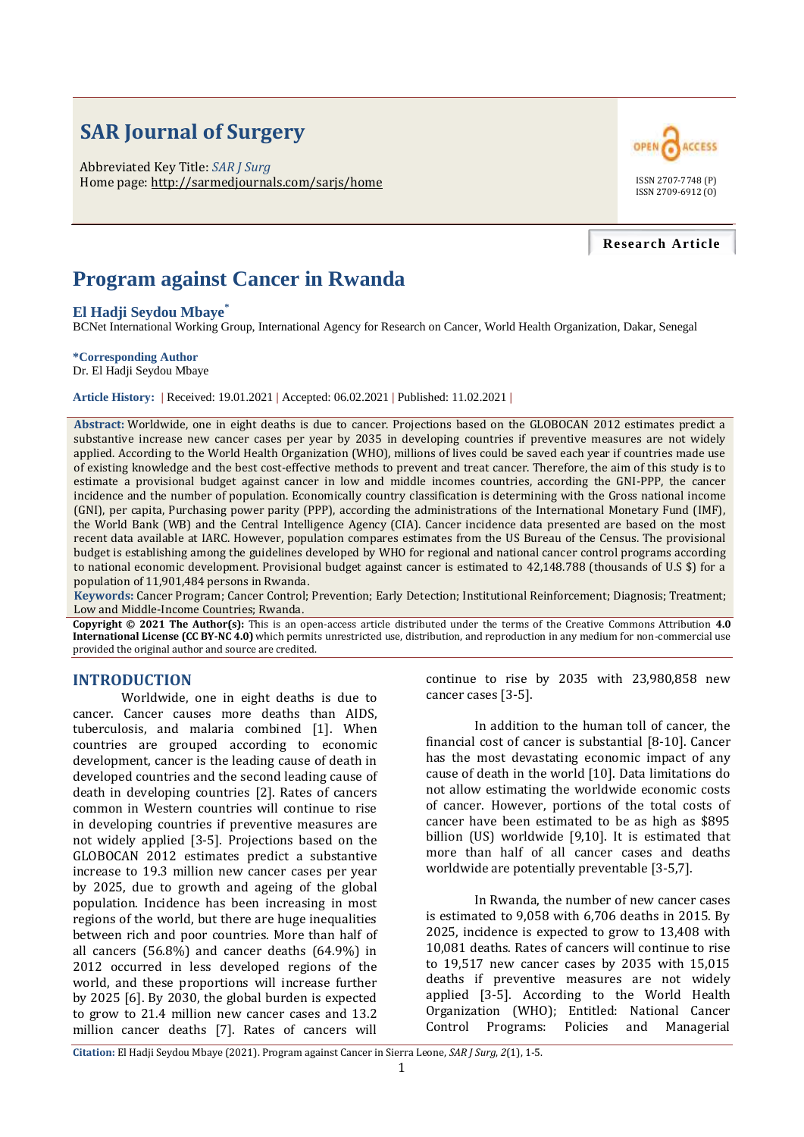# **SAR Journal of Surgery**

Abbreviated Key Title: *SAR J Surg* Home page: http://sarmedjournals.com/sarjs/home ISSN 2707-7748 (P)



#### **Research Article**

# **Program against Cancer in Rwanda**

#### **El Hadji Seydou Mbaye\***

BCNet International Working Group, International Agency for Research on Cancer, World Health Organization, Dakar, Senegal

#### **\*Corresponding Author**

Dr. El Hadji Seydou Mbaye

**Article History: |** Received: 19.01.2021 **|** Accepted: 06.02.2021 **|** Published: 11.02.2021 **|**

**Abstract:** Worldwide, one in eight deaths is due to cancer. Projections based on the GLOBOCAN 2012 estimates predict a substantive increase new cancer cases per year by 2035 in developing countries if preventive measures are not widely applied. According to the World Health Organization (WHO), millions of lives could be saved each year if countries made use of existing knowledge and the best cost-effective methods to prevent and treat cancer. Therefore, the aim of this study is to estimate a provisional budget against cancer in low and middle incomes countries, according the GNI-PPP, the cancer incidence and the number of population. Economically country classification is determining with the Gross national income (GNI), per capita, Purchasing power parity (PPP), according the administrations of the International Monetary Fund (IMF), the World Bank (WB) and the Central Intelligence Agency (CIA). Cancer incidence data presented are based on the most recent data available at IARC. However, population compares estimates from the US Bureau of the Census. The provisional budget is establishing among the guidelines developed by WHO for regional and national cancer control programs according to national economic development. Provisional budget against cancer is estimated to 42,148.788 (thousands of U.S \$) for a population of 11,901,484 persons in Rwanda.

**Keywords:** Cancer Program; Cancer Control; Prevention; Early Detection; Institutional Reinforcement; Diagnosis; Treatment; Low and Middle-Income Countries; Rwanda.

**Copyright © 2021 The Author(s):** This is an open-access article distributed under the terms of the Creative Commons Attribution **4.0 International License (CC BY-NC 4.0)** which permits unrestricted use, distribution, and reproduction in any medium for non-commercial use provided the original author and source are credited.

## **INTRODUCTION**

Worldwide, one in eight deaths is due to cancer. Cancer causes more deaths than AIDS, tuberculosis, and malaria combined [1]. When countries are grouped according to economic development, cancer is the leading cause of death in developed countries and the second leading cause of death in developing countries [2]. Rates of cancers common in Western countries will continue to rise in developing countries if preventive measures are not widely applied [3-5]. Projections based on the GLOBOCAN 2012 estimates predict a substantive increase to 19.3 million new cancer cases per year by 2025, due to growth and ageing of the global population. Incidence has been increasing in most regions of the world, but there are huge inequalities between rich and poor countries. More than half of all cancers (56.8%) and cancer deaths (64.9%) in 2012 occurred in less developed regions of the world, and these proportions will increase further by 2025 [6]. By 2030, the global burden is expected to grow to 21.4 million new cancer cases and 13.2 million cancer deaths [7]. Rates of cancers will

continue to rise by 2035 with 23,980,858 new cancer cases [3-5].

In addition to the human toll of cancer, the financial cost of cancer is substantial [8-10]. Cancer has the most devastating economic impact of any cause of death in the world [10]. Data limitations do not allow estimating the worldwide economic costs of cancer. However, portions of the total costs of cancer have been estimated to be as high as \$895 billion (US) worldwide [9,10]. It is estimated that more than half of all cancer cases and deaths worldwide are potentially preventable [3-5,7].

In Rwanda, the number of new cancer cases is estimated to 9,058 with 6,706 deaths in 2015. By 2025, incidence is expected to grow to 13,408 with 10,081 deaths. Rates of cancers will continue to rise to 19,517 new cancer cases by 2035 with 15,015 deaths if preventive measures are not widely applied [3-5]. According to the World Health Organization (WHO); Entitled: National Cancer Control Programs: Policies and Managerial

**Citation:** El Hadji Seydou Mbaye (2021). Program against Cancer in Sierra Leone, *SAR J Surg*, *2*(1), 1-5.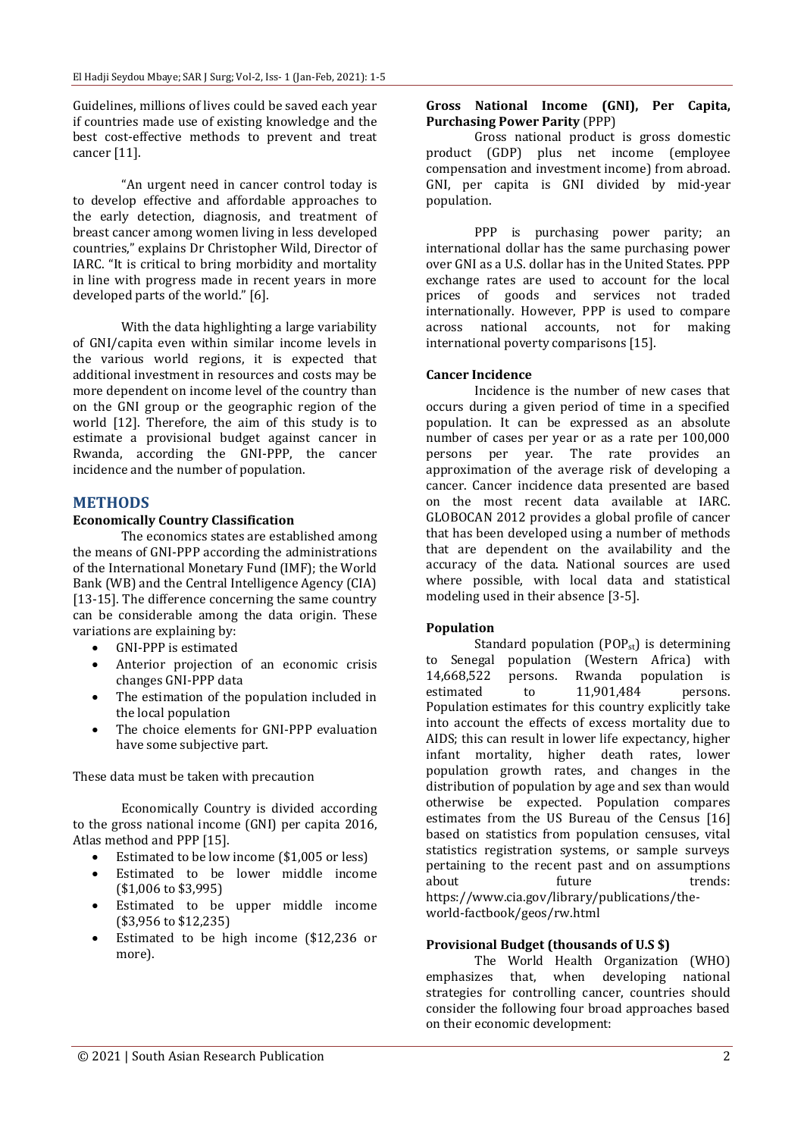Guidelines, millions of lives could be saved each year if countries made use of existing knowledge and the best cost-effective methods to prevent and treat cancer [11].

"An urgent need in cancer control today is to develop effective and affordable approaches to the early detection, diagnosis, and treatment of breast cancer among women living in less developed countries," explains Dr Christopher Wild, Director of IARC. "It is critical to bring morbidity and mortality in line with progress made in recent years in more developed parts of the world." [6].

With the data highlighting a large variability of GNI/capita even within similar income levels in the various world regions, it is expected that additional investment in resources and costs may be more dependent on income level of the country than on the GNI group or the geographic region of the world [12]. Therefore, the aim of this study is to estimate a provisional budget against cancer in Rwanda, according the GNI-PPP, the cancer incidence and the number of population.

## **METHODS**

### **Economically Country Classification**

The economics states are established among the means of GNI-PPP according the administrations of the International Monetary Fund (IMF); the World Bank (WB) and the Central Intelligence Agency (CIA) [13-15]. The difference concerning the same country can be considerable among the data origin. These variations are explaining by:

- GNI-PPP is estimated
- Anterior projection of an economic crisis changes GNI-PPP data
- The estimation of the population included in the local population
- The choice elements for GNI-PPP evaluation have some subjective part.

These data must be taken with precaution

Economically Country is divided according to the gross national income (GNI) per capita 2016, Atlas method and PPP [15].

- Estimated to be low income (\$1,005 or less)
- Estimated to be lower middle income (\$1,006 to \$3,995)
- Estimated to be upper middle income (\$3,956 to \$12,235)
- Estimated to be high income (\$12,236 or more).

## **Gross National Income (GNI), Per Capita, Purchasing Power Parity** (PPP)

Gross national product is gross domestic product (GDP) plus net income (employee compensation and investment income) from abroad. GNI, per capita is GNI divided by mid-year population.

PPP is purchasing power parity; an international dollar has the same purchasing power over GNI as a U.S. dollar has in the United States. PPP exchange rates are used to account for the local prices of goods and services not traded internationally. However, PPP is used to compare across national accounts, not for making international poverty comparisons [15].

## **Cancer Incidence**

Incidence is the number of new cases that occurs during a given period of time in a specified population. It can be expressed as an absolute number of cases per year or as a rate per 100,000 persons per year. The rate provides an approximation of the average risk of developing a cancer. Cancer incidence data presented are based on the most recent data available at IARC. GLOBOCAN 2012 provides a global profile of cancer that has been developed using a number of methods that are dependent on the availability and the accuracy of the data. National sources are used where possible, with local data and statistical modeling used in their absence [3-5].

## **Population**

Standard population  $(POP_{st})$  is determining to Senegal population (Western Africa) with 14,668,522 persons. Rwanda population is estimated to 11,901,484 persons. Population estimates for this country explicitly take into account the effects of excess mortality due to AIDS; this can result in lower life expectancy, higher infant mortality, higher death rates, lower population growth rates, and changes in the distribution of population by age and sex than would otherwise be expected. Population compares estimates from the US Bureau of the Census [16] based on statistics from population censuses, vital statistics registration systems, or sample surveys pertaining to the recent past and on assumptions about future trends: https://www.cia.gov/library/publications/theworld-factbook/geos/rw.html

## **Provisional Budget (thousands of U.S \$)**

The World Health Organization (WHO) emphasizes that, when developing national strategies for controlling cancer, countries should consider the following four broad approaches based on their economic development: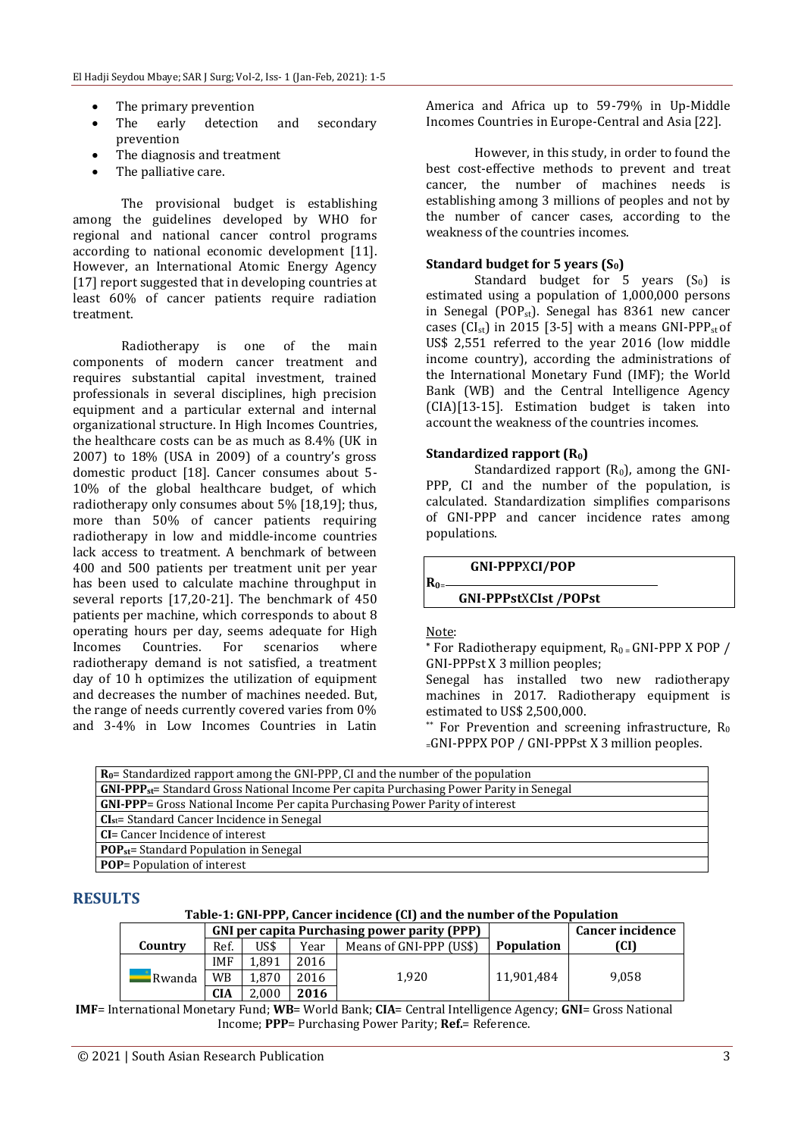- The primary prevention
- The early detection and secondary prevention
- The diagnosis and treatment
- The palliative care.

The provisional budget is establishing among the guidelines developed by WHO for regional and national cancer control programs according to national economic development [11]. However, an International Atomic Energy Agency [17] report suggested that in developing countries at least 60% of cancer patients require radiation treatment.

Radiotherapy is one of the main components of modern cancer treatment and requires substantial capital investment, trained professionals in several disciplines, high precision equipment and a particular external and internal organizational structure. In High Incomes Countries, the healthcare costs can be as much as 8.4% (UK in 2007) to 18% (USA in 2009) of a country's gross domestic product [18]. Cancer consumes about 5- 10% of the global healthcare budget, of which radiotherapy only consumes about 5% [18,19]; thus, more than 50% of cancer patients requiring radiotherapy in low and middle-income countries lack access to treatment. A benchmark of between 400 and 500 patients per treatment unit per year has been used to calculate machine throughput in several reports [17,20-21]. The benchmark of 450 patients per machine, which corresponds to about 8 operating hours per day, seems adequate for High Incomes Countries. For scenarios where radiotherapy demand is not satisfied, a treatment day of 10 h optimizes the utilization of equipment and decreases the number of machines needed. But, the range of needs currently covered varies from 0% and 3-4% in Low Incomes Countries in Latin

America and Africa up to 59-79% in Up-Middle Incomes Countries in Europe-Central and Asia [22].

However, in this study, in order to found the best cost-effective methods to prevent and treat cancer, the number of machines needs is establishing among 3 millions of peoples and not by the number of cancer cases, according to the weakness of the countries incomes.

#### **Standard budget for 5 years (S0)**

Standard budget for  $5$  years  $(S_0)$  is estimated using a population of 1,000,000 persons in Senegal (POP<sub>st</sub>). Senegal has  $8361$  new cancer cases (CI<sub>st</sub>) in 2015 [3-5] with a means GNI-PPP<sub>st</sub> of US\$ 2,551 referred to the year 2016 (low middle income country), according the administrations of the International Monetary Fund (IMF); the World Bank (WB) and the Central Intelligence Agency (CIA)[13-15]. Estimation budget is taken into account the weakness of the countries incomes.

#### **Standardized rapport (R0)**

Standardized rapport  $(R_0)$ , among the GNI-PPP, CI and the number of the population, is calculated. Standardization simplifies comparisons of GNI-PPP and cancer incidence rates among populations.

 **GNI-PPP**X**CI/POP**

### **GNI-PPPst**X**CIst /POPst**

#### Note:

**R0**<sup>=</sup>

 $*$  For Radiotherapy equipment,  $R_0 = GNI-PPPX POP /$ GNI-PPPst X 3 million peoples;

Senegal has installed two new radiotherapy machines in 2017. Radiotherapy equipment is estimated to US\$ 2,500,000.

\*\* For Prevention and screening infrastructure,  $R_0$ <sup>=</sup>GNI-PPPX POP / GNI-PPPst X 3 million peoples.

| <b>Ro</b> = Standardized rapport among the GNI-PPP, CI and the number of the population     |
|---------------------------------------------------------------------------------------------|
| $GNI-PPP_{st}$ Standard Gross National Income Per capita Purchasing Power Parity in Senegal |
| <b>GNI-PPP</b> = Gross National Income Per capita Purchasing Power Parity of interest       |
| $CIst$ = Standard Cancer Incidence in Senegal                                               |
| <b>CI</b> = Cancer Incidence of interest                                                    |
| <b>POP</b> <sub>st</sub> = Standard Population in Senegal                                   |
| <b>POP</b> = Population of interest                                                         |

### **RESULTS**

#### **Table-1: GNI-PPP, Cancer incidence (CI) and the number of the Population**

|         |            |       |      | <b>GNI per capita Purchasing power parity (PPP)</b> |                   | <b>Cancer incidence</b> |
|---------|------------|-------|------|-----------------------------------------------------|-------------------|-------------------------|
| Country | Ref.       | US\$  | Year | Means of GNI-PPP (US\$)                             | <b>Population</b> | rcn                     |
|         | <b>IMF</b> | 1.891 | 2016 |                                                     |                   |                         |
| Rwanda  | WB         | 1.870 | 2016 | 1.920                                               | 11.901.484        | 9.058                   |
|         | CIA        | 2.000 | 2016 |                                                     |                   |                         |

**IMF**= International Monetary Fund; **WB**= World Bank; **CIA**= Central Intelligence Agency; **GNI**= Gross National Income; **PPP**= Purchasing Power Parity; **Ref.**= Reference.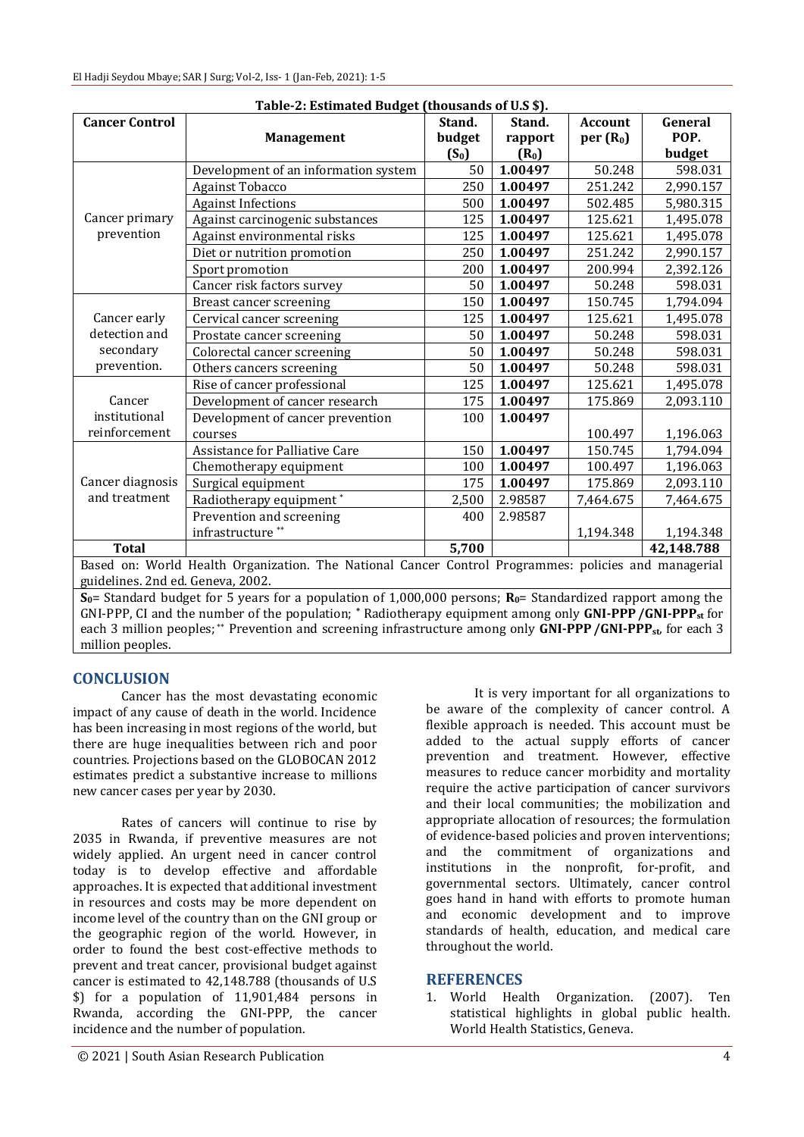| Table-2: Estimated Budget (thousands of U.S \$).                                                                |                                      |         |         |                      |            |  |  |  |  |  |
|-----------------------------------------------------------------------------------------------------------------|--------------------------------------|---------|---------|----------------------|------------|--|--|--|--|--|
| <b>Cancer Control</b>                                                                                           |                                      | Stand.  | Stand.  | <b>Account</b>       | General    |  |  |  |  |  |
|                                                                                                                 | <b>Management</b>                    | budget  | rapport | per(R <sub>0</sub> ) | POP.       |  |  |  |  |  |
|                                                                                                                 |                                      | $(S_0)$ | $(R_0)$ |                      | budget     |  |  |  |  |  |
| Cancer primary<br>prevention                                                                                    | Development of an information system | 50      | 1.00497 | 50.248               | 598.031    |  |  |  |  |  |
|                                                                                                                 | <b>Against Tobacco</b>               | 250     | 1.00497 | 251.242              | 2,990.157  |  |  |  |  |  |
|                                                                                                                 | <b>Against Infections</b>            | 500     | 1.00497 | 502.485              | 5,980.315  |  |  |  |  |  |
|                                                                                                                 | Against carcinogenic substances      | 125     | 1.00497 | 125.621              | 1,495.078  |  |  |  |  |  |
|                                                                                                                 | Against environmental risks          | 125     | 1.00497 | 125.621              | 1,495.078  |  |  |  |  |  |
|                                                                                                                 | Diet or nutrition promotion          | 250     | 1.00497 | 251.242              | 2,990.157  |  |  |  |  |  |
|                                                                                                                 | Sport promotion                      | 200     | 1.00497 | 200.994              | 2,392.126  |  |  |  |  |  |
|                                                                                                                 | Cancer risk factors survey           | 50      | 1.00497 | 50.248               | 598.031    |  |  |  |  |  |
| Cancer early<br>detection and<br>secondary<br>prevention.                                                       | Breast cancer screening              | 150     | 1.00497 | 150.745              | 1,794.094  |  |  |  |  |  |
|                                                                                                                 | Cervical cancer screening            | 125     | 1.00497 | 125.621              | 1,495.078  |  |  |  |  |  |
|                                                                                                                 | Prostate cancer screening            | 50      | 1.00497 | 50.248               | 598.031    |  |  |  |  |  |
|                                                                                                                 | Colorectal cancer screening          | 50      | 1.00497 | 50.248               | 598.031    |  |  |  |  |  |
|                                                                                                                 | Others cancers screening             | 50      | 1.00497 | 50.248               | 598.031    |  |  |  |  |  |
|                                                                                                                 | Rise of cancer professional          | 125     | 1.00497 | 125.621              | 1,495.078  |  |  |  |  |  |
| Cancer                                                                                                          | Development of cancer research       | 175     | 1.00497 | 175.869              | 2,093.110  |  |  |  |  |  |
| institutional                                                                                                   | Development of cancer prevention     | 100     | 1.00497 |                      |            |  |  |  |  |  |
| reinforcement                                                                                                   | courses                              |         |         | 100.497              | 1,196.063  |  |  |  |  |  |
| Cancer diagnosis<br>and treatment                                                                               | Assistance for Palliative Care       | 150     | 1.00497 | 150.745              | 1,794.094  |  |  |  |  |  |
|                                                                                                                 | Chemotherapy equipment               | 100     | 1.00497 | 100.497              | 1,196.063  |  |  |  |  |  |
|                                                                                                                 | Surgical equipment                   | 175     | 1.00497 | 175.869              | 2,093.110  |  |  |  |  |  |
|                                                                                                                 | Radiotherapy equipment*              | 2,500   | 2.98587 | 7,464.675            | 7,464.675  |  |  |  |  |  |
|                                                                                                                 | Prevention and screening             | 400     | 2.98587 |                      |            |  |  |  |  |  |
|                                                                                                                 | infrastructure <sup>**</sup>         |         |         | 1,194.348            | 1,194.348  |  |  |  |  |  |
| <b>Total</b>                                                                                                    |                                      | 5,700   |         |                      | 42,148.788 |  |  |  |  |  |
| Based on: World Health Organization. The National Cancer Control Programmes: policies and managerial            |                                      |         |         |                      |            |  |  |  |  |  |
| guidelines. 2nd ed. Geneva, 2002.                                                                               |                                      |         |         |                      |            |  |  |  |  |  |
| $S_{0}$ Standard budget for 5 years for a population of 1,000,000 persons: $R_0$ Standardized rapport among the |                                      |         |         |                      |            |  |  |  |  |  |

**S** ard budget for 5 years for a population of 1,000,000 persons;  $\mathbf{R}_{0}$ = Standardized ra GNI-PPP, CI and the number of the population; **\*** Radiotherapy equipment among only **GNI-PPP/GNI-PPPst** for each 3 million peoples; \*\* Prevention and screening infrastructure among only **GNI-PPP/GNI-PPPst**, for each 3 million peoples.

## **CONCLUSION**

Cancer has the most devastating economic impact of any cause of death in the world. Incidence has been increasing in most regions of the world, but there are huge inequalities between rich and poor countries. Projections based on the GLOBOCAN 2012 estimates predict a substantive increase to millions new cancer cases per year by 2030.

Rates of cancers will continue to rise by 2035 in Rwanda, if preventive measures are not widely applied. An urgent need in cancer control today is to develop effective and affordable approaches. It is expected that additional investment in resources and costs may be more dependent on income level of the country than on the GNI group or the geographic region of the world. However, in order to found the best cost-effective methods to prevent and treat cancer, provisional budget against cancer is estimated to 42,148.788 (thousands of U.S \$) for a population of 11,901,484 persons in Rwanda, according the GNI-PPP, the cancer incidence and the number of population.

It is very important for all organizations to be aware of the complexity of cancer control. A flexible approach is needed. This account must be added to the actual supply efforts of cancer prevention and treatment. However, effective measures to reduce cancer morbidity and mortality require the active participation of cancer survivors and their local communities; the mobilization and appropriate allocation of resources; the formulation of evidence-based policies and proven interventions; and the commitment of organizations and institutions in the nonprofit, for-profit, and governmental sectors. Ultimately, cancer control goes hand in hand with efforts to promote human and economic development and to improve standards of health, education, and medical care throughout the world.

## **REFERENCES**

1. World Health Organization. (2007). Ten statistical highlights in global public health. World Health Statistics, Geneva.